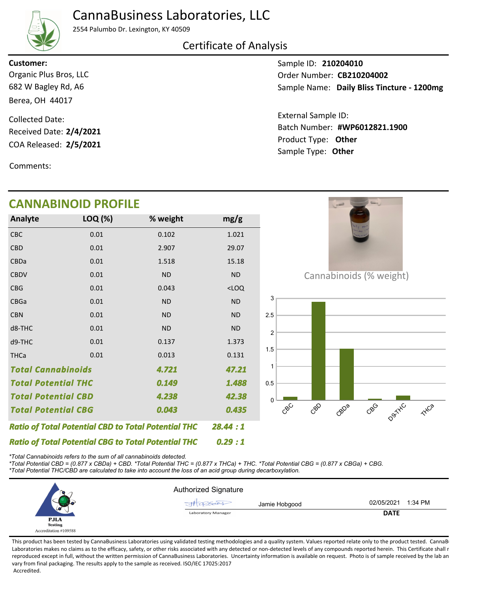## CannaBusiness Laboratories, LLC



2554 Palumbo Dr. Lexington, KY 40509

### Certificate of Analysis

**Customer:**

682 W Bagley Rd, A6 Berea, OH 44017 Organic Plus Bros, LLC

COA Released: 2/5/2021 Collected Date: Received Date: **2/4/2021**

Comments:

Sample ID: **210204010** Sample Name: Daily Bliss Tincture - 1200mg Order Number: CB210204002

Product Type: **Other 2/5/2021 #WP6012821.1900** Batch Number: External Sample ID: Sample Type: **Other**

| <b>CANNABINOID PROFILE</b>                                 |         |                                                            |           |
|------------------------------------------------------------|---------|------------------------------------------------------------|-----------|
| Analyte                                                    | LOQ (%) | % weight                                                   | mg/g      |
| CBC                                                        | 0.01    | 0.102                                                      | 1.021     |
| <b>CBD</b>                                                 | 0.01    | 2.907                                                      | 29.07     |
| CBDa                                                       | 0.01    | 1.518                                                      | 15.18     |
| <b>CBDV</b>                                                | 0.01    | <b>ND</b>                                                  | <b>ND</b> |
| <b>CBG</b>                                                 | 0.01    | 0.043                                                      | $<$ LOQ   |
| CBGa                                                       | 0.01    | <b>ND</b>                                                  | <b>ND</b> |
| <b>CBN</b>                                                 | 0.01    | <b>ND</b>                                                  | <b>ND</b> |
| d8-THC                                                     | 0.01    | <b>ND</b>                                                  | <b>ND</b> |
| d9-THC                                                     | 0.01    | 0.137                                                      | 1.373     |
| <b>THCa</b>                                                | 0.01    | 0.013                                                      | 0.131     |
| <b>Total Cannabinoids</b><br>4.721                         |         | 47.21                                                      |           |
| <b>Total Potential THC</b>                                 |         | 0.149                                                      | 1.488     |
| <b>Total Potential CBD</b>                                 |         | 4.238                                                      | 42.38     |
| <b>Total Potential CBG</b>                                 |         | 0.043                                                      | 0.435     |
|                                                            |         | <b>Ratio of Total Potential CBD to Total Potential THC</b> | 28.44 : 1 |
| <b>Ratio of Total Potential CBG to Total Potential THC</b> |         |                                                            | 0.29:1    |

*\*Total Cannabinoids refers to the sum of all cannabinoids detected.*

*\*Total Potential CBD = (0.877 x CBDa) + CBD. \*Total Potential THC = (0.877 x THCa) + THC. \*Total Potential CBG = (0.877 x CBGa) + CBG. \*Total Potential THC/CBD are calculated to take into account the loss of an acid group during decarboxylation.*



This product has been tested by CannaBusiness Laboratories using validated testing methodologies and a quality system. Values reported relate only to the product tested. CannaB Laboratories makes no claims as to the efficacy, safety, or other risks associated with any detected or non-detected levels of any compounds reported herein. This Certificate shall r reproduced except in full, without the written permission of CannaBusiness Laboratories. Uncertainty information is available on request. Photo is of sample received by the lab an vary from final packaging. The results apply to the sample as received. ISO/IEC 17025:2017 Accredited.